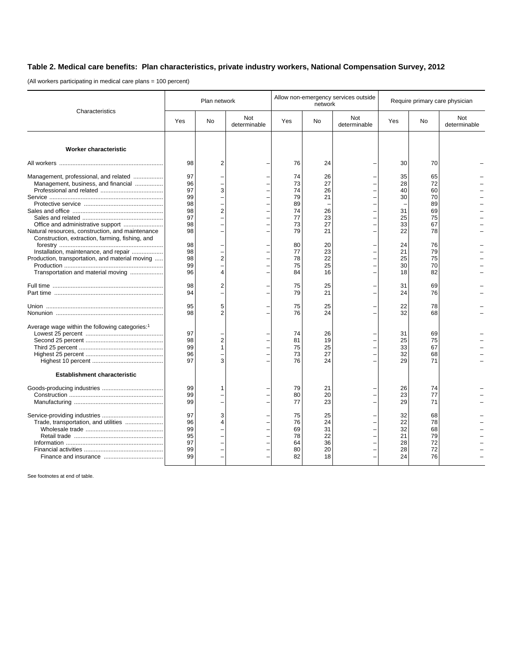## **Table 2. Medical care benefits: Plan characteristics, private industry workers, National Compensation Survey, 2012**

(All workers participating in medical care plans = 100 percent)

| Characteristics                                                                                                                                                                                                          | Plan network                                       |                     |                     | Allow non-emergency services outside<br>network    |                                              |                     | Require primary care physician               |                                                    |                     |
|--------------------------------------------------------------------------------------------------------------------------------------------------------------------------------------------------------------------------|----------------------------------------------------|---------------------|---------------------|----------------------------------------------------|----------------------------------------------|---------------------|----------------------------------------------|----------------------------------------------------|---------------------|
|                                                                                                                                                                                                                          | Yes                                                | No                  | Not<br>determinable | Yes                                                | No                                           | Not<br>determinable | Yes                                          | No                                                 | Not<br>determinable |
| <b>Worker characteristic</b>                                                                                                                                                                                             |                                                    |                     |                     |                                                    |                                              |                     |                                              |                                                    |                     |
|                                                                                                                                                                                                                          | 98                                                 | $\overline{2}$      |                     | 76                                                 | 24                                           |                     | 30                                           | 70                                                 |                     |
| Management, professional, and related<br>Management, business, and financial<br>Office and administrative support<br>Natural resources, construction, and maintenance<br>Construction, extraction, farming, fishing, and | 97<br>96<br>97<br>99<br>98<br>98<br>97<br>98<br>98 | 3<br>2              |                     | 74<br>73<br>74<br>79<br>89<br>74<br>77<br>73<br>79 | 26<br>27<br>26<br>21<br>26<br>23<br>27<br>21 |                     | 35<br>28<br>40<br>30<br>31<br>25<br>33<br>22 | 65<br>72<br>60<br>70<br>89<br>69<br>75<br>67<br>78 |                     |
| Installation, maintenance, and repair<br>Production, transportation, and material moving<br>Transportation and material moving                                                                                           | 98<br>98<br>98<br>99<br>96                         | $\overline{2}$<br>Δ |                     | 80<br>77<br>78<br>75<br>84                         | 20<br>23<br>22<br>25<br>16                   |                     | 24<br>21<br>25<br>30<br>18                   | 76<br>79<br>75<br>70<br>82                         |                     |
|                                                                                                                                                                                                                          | 98<br>94                                           | $\overline{c}$      |                     | 75<br>79                                           | 25<br>21                                     |                     | 31<br>24                                     | 69<br>76                                           |                     |
|                                                                                                                                                                                                                          | 95<br>98                                           | 5                   |                     | 75<br>76                                           | 25<br>24                                     |                     | 22<br>32                                     | 78<br>68                                           |                     |
| Average wage within the following categories: <sup>1</sup>                                                                                                                                                               | 97<br>98<br>99<br>96<br>97                         | 2                   |                     | 74<br>81<br>75<br>73<br>76                         | 26<br>19<br>25<br>27<br>24                   |                     | 31<br>25<br>33<br>32<br>29                   | 69<br>75<br>67<br>68<br>71                         |                     |
| <b>Establishment characteristic</b>                                                                                                                                                                                      |                                                    |                     |                     |                                                    |                                              |                     |                                              |                                                    |                     |
|                                                                                                                                                                                                                          | 99<br>99<br>99                                     |                     |                     | 79<br>80<br>77                                     | 21<br>20<br>23                               |                     | 26<br>23<br>29                               | 74<br>77<br>71                                     |                     |
| Trade, transportation, and utilities                                                                                                                                                                                     | 97<br>96<br>99<br>95<br>97<br>99<br>99             | 3                   |                     | 75<br>76<br>69<br>78<br>64<br>80<br>82             | 25<br>24<br>31<br>22<br>36<br>20<br>18       |                     | 32<br>22<br>32<br>21<br>28<br>28<br>24       | 68<br>78<br>68<br>79<br>72<br>72<br>76             |                     |

See footnotes at end of table.